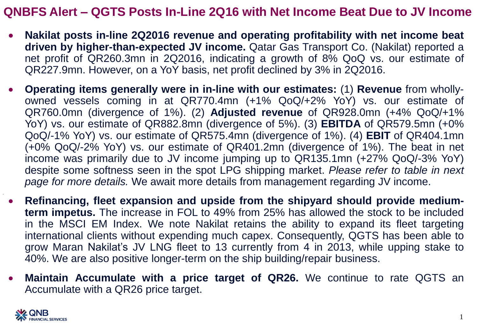## **QNBFS Alert – QGTS Posts In-Line 2Q16 with Net Income Beat Due to JV Income**

- **Nakilat posts in-line 2Q2016 revenue and operating profitability with net income beat driven by higher-than-expected JV income.** Qatar Gas Transport Co. (Nakilat) reported a net profit of QR260.3mn in 2Q2016, indicating a growth of 8% QoQ vs. our estimate of QR227.9mn. However, on a YoY basis, net profit declined by 3% in 2Q2016.
- **Operating items generally were in in-line with our estimates:** (1) **Revenue** from whollyowned vessels coming in at QR770.4mn (+1% QoQ/+2% YoY) vs. our estimate of QR760.0mn (divergence of 1%). (2) **Adjusted revenue** of QR928.0mn (+4% QoQ/+1% YoY) vs. our estimate of QR882.8mn (divergence of 5%). (3) **EBITDA** of QR579.5mn (+0% QoQ/-1% YoY) vs. our estimate of QR575.4mn (divergence of 1%). (4) **EBIT** of QR404.1mn (+0% QoQ/-2% YoY) vs. our estimate of QR401.2mn (divergence of 1%). The beat in net income was primarily due to JV income jumping up to QR135.1mn (+27% QoQ/-3% YoY) despite some softness seen in the spot LPG shipping market. *Please refer to table in next page for more details.* We await more details from management regarding JV income.
- **Refinancing, fleet expansion and upside from the shipyard should provide mediumterm impetus.** The increase in FOL to 49% from 25% has allowed the stock to be included in the MSCI EM Index. We note Nakilat retains the ability to expand its fleet targeting international clients without expending much capex. Consequently, QGTS has been able to grow Maran Nakilat's JV LNG fleet to 13 currently from 4 in 2013, while upping stake to 40%. We are also positive longer-term on the ship building/repair business.
- **Maintain Accumulate with a price target of QR26.** We continue to rate QGTS an Accumulate with a QR26 price target.

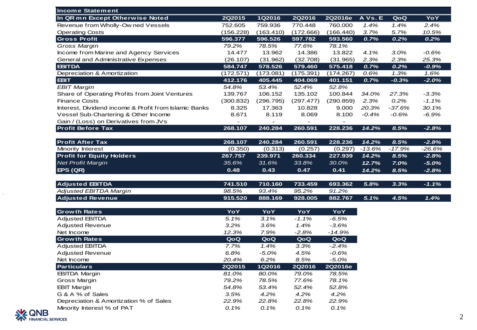| <b>Income Statement</b>                               |               |           |               |           |          |          |          |
|-------------------------------------------------------|---------------|-----------|---------------|-----------|----------|----------|----------|
| In QR mn Except Otherwise Noted                       | <b>2Q2015</b> | 1Q2016    | <b>2Q2016</b> | 2Q2016e   | A Vs. E  | QoQ      | YoY      |
| Revenue from Wholly-Ow ned Vessels                    | 752.605       | 759.936   | 770.448       | 760,000   | 1.4%     | 1.4%     | 2.4%     |
| <b>Operating Costs</b>                                | (156.228)     | (163.410) | (172.666)     | (166.440) | 3.7%     | 5.7%     | 10.5%    |
| <b>Gross Profit</b>                                   | 596.377       | 596.526   | 597.782       | 593.560   | 0.7%     | 0.2%     | 0.2%     |
| Gross Margin                                          | 79.2%         | 78.5%     | 77.6%         | 78.1%     |          |          |          |
| Income from Marine and Agency Services                | 14.477        | 13.962    | 14.386        | 13.822    | 4.1%     | $3.0\%$  | -0.6%    |
| <b>General and Administrative Expenses</b>            | (26.107)      | (31.962)  | (32.708)      | (31.965)  | 2.3%     | 2.3%     | 25.3%    |
| <b>EBITDA</b>                                         | 584.747       | 578.526   | 579.460       | 575.418   | 0.7%     | 0.2%     | $-0.9%$  |
| Depreciation & Amortization                           | (172.571)     | (173.081) | (175.391)     | (174.267) | 0.6%     | 1.3%     | 1.6%     |
| <b>EBIT</b>                                           | 412.176       | 405.445   | 404.069       | 401.151   | 0.7%     | $-0.3%$  | $-2.0%$  |
| <b>EBIT Margin</b>                                    | 54.8%         | 53.4%     | 52.4%         | 52.8%     |          |          |          |
| Share of Operating Profits from Joint Ventures        | 139.767       | 106.152   | 135.102       | 100.844   | 34.0%    | 27.3%    | $-3.3%$  |
| <b>Finance Costs</b>                                  | (300.832)     | (296.795) | (297.477)     | (290.859) | 2.3%     | 0.2%     | $-1.1\%$ |
| Interest, Dividend income & Profit from Islamic Banks | 8.325         | 17.363    | 10.828        | 9.000     | 20.3%    | $-37.6%$ | 30.1%    |
| Vessel Sub-Chartering & Other Income                  | 8.671         | 8.119     | 8.069         | 8.100     | $-0.4%$  | -0.6%    | -6.9%    |
| Gain / (Loss) on Derivatives from JVs                 |               |           |               |           |          |          |          |
| <b>Profit Before Tax</b>                              | 268.107       | 240.284   | 260.591       | 228.236   | 14.2%    | 8.5%     | $-2.8%$  |
|                                                       |               |           |               |           |          |          |          |
| <b>Profit After Tax</b>                               | 268.107       | 240.284   | 260.591       | 228.236   | 14.2%    | 8.5%     | $-2.8%$  |
| Minority Interest                                     | (0.350)       | (0.313)   | (0.257)       | (0.297)   | $-13.6%$ | $-17.9%$ | $-26.6%$ |
| <b>Profit for Equity Holders</b>                      | 267.757       | 239.971   | 260.334       | 227.939   | 14.2%    | 8.5%     | $-2.8%$  |
| <b>Net Profit Margin</b>                              | 35.6%         | 31.6%     | 33.8%         | 30.0%     | 12.7%    | 7.0%     | $-5.0%$  |
| EPS(QR)                                               | 0.48          | 0.43      | 0.47          | 0.41      | 14.2%    | 8.5%     | $-2.8%$  |
| <b>Adjusted EBITDA</b>                                | 741.510       | 710.160   | 733.459       | 693.362   | 5.8%     | 3.3%     | $-1.1%$  |
| <b>Adjusted EBITDA Margin</b>                         | 98.5%         | 93.4%     | 95.2%         | 91.2%     |          |          |          |
| <b>Adjusted Revenue</b>                               | 915.520       | 888.169   | 928.005       | 882.767   | 5.1%     | 4.5%     | 1.4%     |
|                                                       |               |           |               |           |          |          |          |
| <b>Growth Rates</b>                                   | YoY           | YoY       | YoY           | YoY       |          |          |          |
| <b>Adjusted EBITDA</b>                                | 5.1%          | 3.1%      | -1.1%         | -6.5%     |          |          |          |
| <b>Adjusted Revenue</b>                               | 3.2%          | 3.6%      | 1.4%          | $-3.6%$   |          |          |          |
| Net Income                                            | 12.3%         | 7.9%      | -2.8%         | -14.9%    |          |          |          |
| <b>Growth Rates</b>                                   | QoQ           | QoQ       | QoQ           | QoQ       |          |          |          |
| <b>Adjusted EBITDA</b>                                | 7.7%          | 1.4%      | 3.3%          | $-2.4%$   |          |          |          |
| <b>Adjusted Revenue</b>                               | 6.8%          | $-5.0%$   | 4.5%          | $-0.6%$   |          |          |          |
| Net Income                                            | 20.4%         | 6.2%      | 8.5%          | $-5.0%$   |          |          |          |
| <b>Particulars</b>                                    | 2Q2015        | 1Q2016    | <b>2Q2016</b> | 2Q2016e   |          |          |          |
| <b>EBITDA Margin</b>                                  | 81.0%         | 80.0%     | 79.0%         | 78.5%     |          |          |          |
| Gross Margin                                          | 79.2%         | 78.5%     | 77.6%         | 78.1%     |          |          |          |
| <b>EBIT Margin</b>                                    | 54.8%         | 53.4%     | 52.4%         | 52.8%     |          |          |          |
| G & A % of Sales                                      | 3.5%          | 4.2%      | 4.2%          | 4.2%      |          |          |          |
| Depreciation & Amortization % of Sales                | 22.9%         | 22.8%     | 22.8%         | 22.9%     |          |          |          |
| Minority Interest % of PAT                            | 0.1%          | 0.1%      | 0.1%          | 0.1%      |          |          |          |